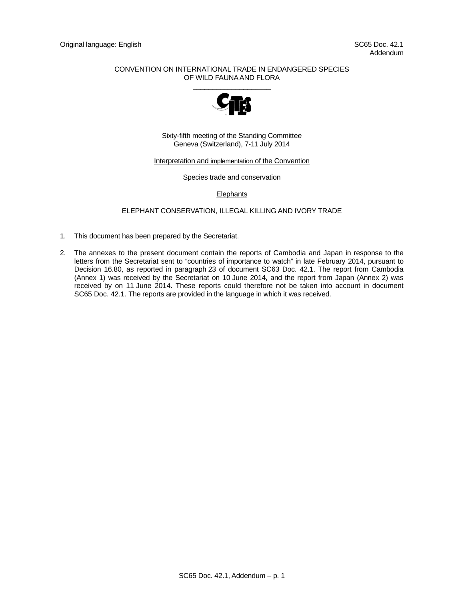## CONVENTION ON INTERNATIONAL TRADE IN ENDANGERED SPECIES OF WILD FAUNA AND FLORA



Sixty-fifth meeting of the Standing Committee Geneva (Switzerland), 7-11 July 2014

#### Interpretation and implementation of the Convention

#### Species trade and conservation

#### **Elephants**

### ELEPHANT CONSERVATION, ILLEGAL KILLING AND IVORY TRADE

- 1. This document has been prepared by the Secretariat.
- 2. The annexes to the present document contain the reports of Cambodia and Japan in response to the letters from the Secretariat sent to "countries of importance to watch" in late February 2014, pursuant to Decision 16.80, as reported in paragraph 23 of document SC63 Doc. 42.1. The report from Cambodia (Annex 1) was received by the Secretariat on 10 June 2014, and the report from Japan (Annex 2) was received by on 11 June 2014. These reports could therefore not be taken into account in document SC65 Doc. 42.1. The reports are provided in the language in which it was received.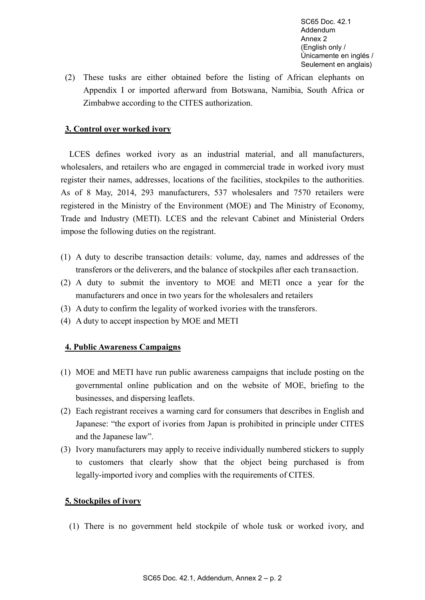SC65 Doc. 42.1 Addendum Annex 2 (English only / Únicamente en inglés / Seulement en anglais)

(2) These tusks are either obtained before the listing of African elephants on Appendix I or imported afterward from Botswana, Namibia, South Africa or Zimbabwe according to the CITES authorization.

# **3. Control over worked ivory**

LCES defines worked ivory as an industrial material, and all manufacturers, wholesalers, and retailers who are engaged in commercial trade in worked ivory must register their names, addresses, locations of the facilities, stockpiles to the authorities. As of 8 May, 2014, 293 manufacturers, 537 wholesalers and 7570 retailers were registered in the Ministry of the Environment (MOE) and The Ministry of Economy, Trade and Industry (METI). LCES and the relevant Cabinet and Ministerial Orders impose the following duties on the registrant.

- (1) A duty to describe transaction details: volume, day, names and addresses of the transferors or the deliverers, and the balance of stockpiles after each transaction.
- (2) A duty to submit the inventory to MOE and METI once a year for the manufacturers and once in two years for the wholesalers and retailers
- (3) A duty to confirm the legality of worked ivories with the transferors.
- (4) A duty to accept inspection by MOE and METI

## **4. Public Awareness Campaigns**

- (1) MOE and METI have run public awareness campaigns that include posting on the governmental online publication and on the website of MOE, briefing to the businesses, and dispersing leaflets.
- (2) Each registrant receives a warning card for consumers that describes in English and Japanese: "the export of ivories from Japan is prohibited in principle under CITES and the Japanese law".
- (3) Ivory manufacturers may apply to receive individually numbered stickers to supply to customers that clearly show that the object being purchased is from legally-imported ivory and complies with the requirements of CITES.

## **5. Stockpiles of ivory**

(1) There is no government held stockpile of whole tusk or worked ivory, and